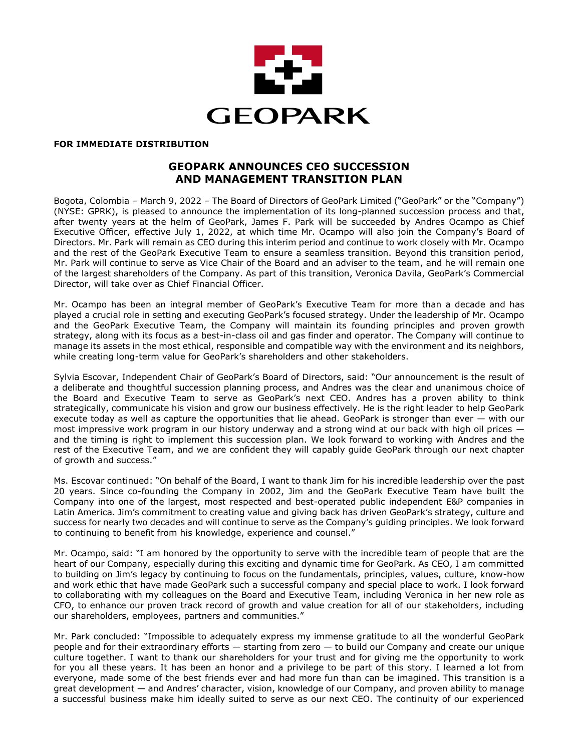

#### **FOR IMMEDIATE DISTRIBUTION**

# **GEOPARK ANNOUNCES CEO SUCCESSION AND MANAGEMENT TRANSITION PLAN**

Bogota, Colombia – March 9, 2022 – The Board of Directors of GeoPark Limited ("GeoPark" or the "Company") (NYSE: GPRK), is pleased to announce the implementation of its long-planned succession process and that, after twenty years at the helm of GeoPark, James F. Park will be succeeded by Andres Ocampo as Chief Executive Officer, effective July 1, 2022, at which time Mr. Ocampo will also join the Company's Board of Directors. Mr. Park will remain as CEO during this interim period and continue to work closely with Mr. Ocampo and the rest of the GeoPark Executive Team to ensure a seamless transition. Beyond this transition period, Mr. Park will continue to serve as Vice Chair of the Board and an adviser to the team, and he will remain one of the largest shareholders of the Company. As part of this transition, Veronica Davila, GeoPark's Commercial Director, will take over as Chief Financial Officer.

Mr. Ocampo has been an integral member of GeoPark's Executive Team for more than a decade and has played a crucial role in setting and executing GeoPark's focused strategy. Under the leadership of Mr. Ocampo and the GeoPark Executive Team, the Company will maintain its founding principles and proven growth strategy, along with its focus as a best-in-class oil and gas finder and operator. The Company will continue to manage its assets in the most ethical, responsible and compatible way with the environment and its neighbors, while creating long-term value for GeoPark's shareholders and other stakeholders.

Sylvia Escovar, Independent Chair of GeoPark's Board of Directors, said: "Our announcement is the result of a deliberate and thoughtful succession planning process, and Andres was the clear and unanimous choice of the Board and Executive Team to serve as GeoPark's next CEO. Andres has a proven ability to think strategically, communicate his vision and grow our business effectively. He is the right leader to help GeoPark execute today as well as capture the opportunities that lie ahead. GeoPark is stronger than ever — with our most impressive work program in our history underway and a strong wind at our back with high oil prices and the timing is right to implement this succession plan. We look forward to working with Andres and the rest of the Executive Team, and we are confident they will capably guide GeoPark through our next chapter of growth and success."

Ms. Escovar continued: "On behalf of the Board, I want to thank Jim for his incredible leadership over the past 20 years. Since co-founding the Company in 2002, Jim and the GeoPark Executive Team have built the Company into one of the largest, most respected and best-operated public independent E&P companies in Latin America. Jim's commitment to creating value and giving back has driven GeoPark's strategy, culture and success for nearly two decades and will continue to serve as the Company's guiding principles. We look forward to continuing to benefit from his knowledge, experience and counsel."

Mr. Ocampo, said: "I am honored by the opportunity to serve with the incredible team of people that are the heart of our Company, especially during this exciting and dynamic time for GeoPark. As CEO, I am committed to building on Jim's legacy by continuing to focus on the fundamentals, principles, values, culture, know-how and work ethic that have made GeoPark such a successful company and special place to work. I look forward to collaborating with my colleagues on the Board and Executive Team, including Veronica in her new role as CFO, to enhance our proven track record of growth and value creation for all of our stakeholders, including our shareholders, employees, partners and communities."

Mr. Park concluded: "Impossible to adequately express my immense gratitude to all the wonderful GeoPark people and for their extraordinary efforts — starting from zero — to build our Company and create our unique culture together. I want to thank our shareholders for your trust and for giving me the opportunity to work for you all these years. It has been an honor and a privilege to be part of this story. I learned a lot from everyone, made some of the best friends ever and had more fun than can be imagined. This transition is a great development — and Andres' character, vision, knowledge of our Company, and proven ability to manage a successful business make him ideally suited to serve as our next CEO. The continuity of our experienced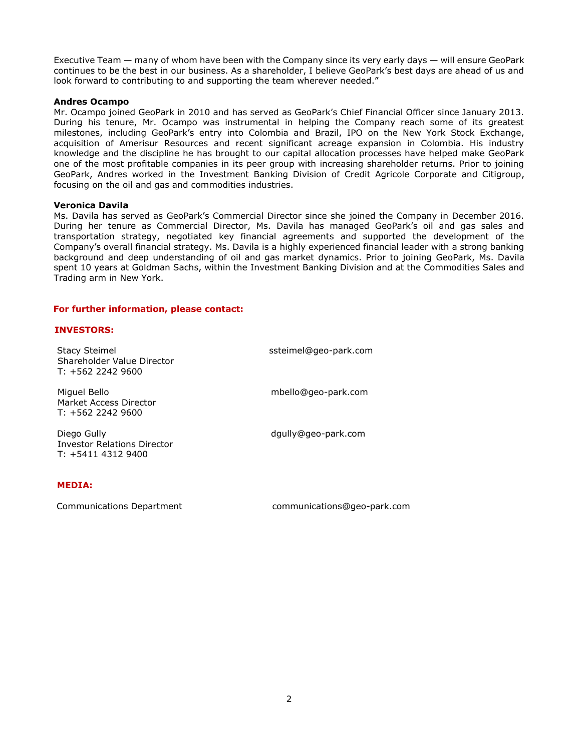Executive Team — many of whom have been with the Company since its very early days — will ensure GeoPark continues to be the best in our business. As a shareholder, I believe GeoPark's best days are ahead of us and look forward to contributing to and supporting the team wherever needed."

### **Andres Ocampo**

Mr. Ocampo joined GeoPark in 2010 and has served as GeoPark's Chief Financial Officer since January 2013. During his tenure, Mr. Ocampo was instrumental in helping the Company reach some of its greatest milestones, including GeoPark's entry into Colombia and Brazil, IPO on the New York Stock Exchange, acquisition of Amerisur Resources and recent significant acreage expansion in Colombia. His industry knowledge and the discipline he has brought to our capital allocation processes have helped make GeoPark one of the most profitable companies in its peer group with increasing shareholder returns. Prior to joining GeoPark, Andres worked in the Investment Banking Division of Credit Agricole Corporate and Citigroup, focusing on the oil and gas and commodities industries.

### **Veronica Davila**

Ms. Davila has served as GeoPark's Commercial Director since she joined the Company in December 2016. During her tenure as Commercial Director, Ms. Davila has managed GeoPark's oil and gas sales and transportation strategy, negotiated key financial agreements and supported the development of the Company's overall financial strategy. Ms. Davila is a highly experienced financial leader with a strong banking background and deep understanding of oil and gas market dynamics. Prior to joining GeoPark, Ms. Davila spent 10 years at Goldman Sachs, within the Investment Banking Division and at the Commodities Sales and Trading arm in New York.

#### **For further information, please contact:**

## **INVESTORS:**

| <b>Stacy Steimel</b><br>Shareholder Value Director<br>$T: +56222429600$ | ssteimel@geo-park.com |
|-------------------------------------------------------------------------|-----------------------|
| Miguel Bello<br>Market Access Director<br>$T: +56222429600$             | mbello@geo-park.com   |
| Diego Gully<br><b>Investor Relations Director</b><br>$T: +541143129400$ | dgully@geo-park.com   |

# **MEDIA:**

Communications Department communications@geo-park.com